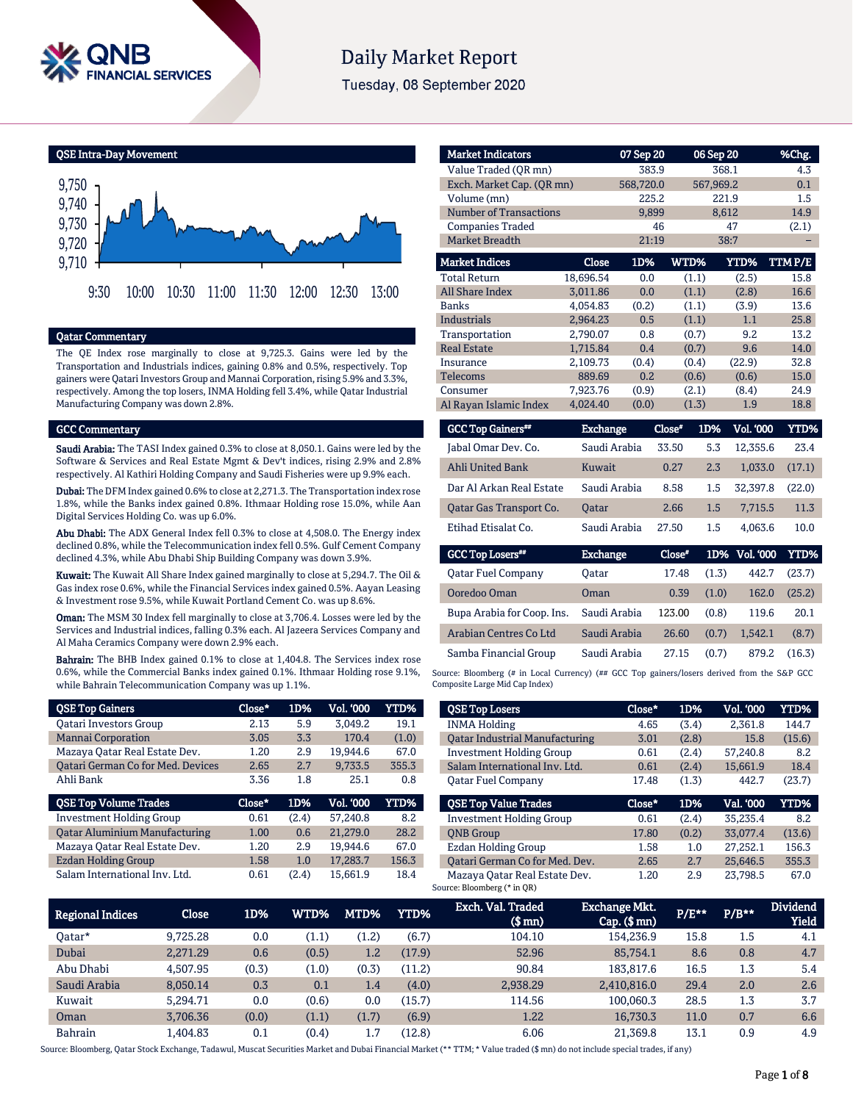

# **Daily Market Report**

Tuesday, 08 September 2020

QSE Intra-Day Movement



# Qatar Commentary

The QE Index rose marginally to close at 9,725.3. Gains were led by the Transportation and Industrials indices, gaining 0.8% and 0.5%, respectively. Top gainers were Qatari Investors Group and Mannai Corporation, rising 5.9% and 3.3%, respectively. Among the top losers, INMA Holding fell 3.4%, while Qatar Industrial Manufacturing Company was down 2.8%.

#### GCC Commentary

Saudi Arabia: The TASI Index gained 0.3% to close at 8,050.1. Gains were led by the Software & Services and Real Estate Mgmt & Dev't indices, rising 2.9% and 2.8% respectively. Al Kathiri Holding Company and Saudi Fisheries were up 9.9% each.

Dubai: The DFM Index gained 0.6% to close at 2,271.3. The Transportation index rose 1.8%, while the Banks index gained 0.8%. Ithmaar Holding rose 15.0%, while Aan Digital Services Holding Co. was up 6.0%.

Abu Dhabi: The ADX General Index fell 0.3% to close at 4,508.0. The Energy index declined 0.8%, while the Telecommunication index fell 0.5%. Gulf Cement Company declined 4.3%, while Abu Dhabi Ship Building Company was down 3.9%.

Kuwait: The Kuwait All Share Index gained marginally to close at 5,294.7. The Oil & Gas index rose 0.6%, while the Financial Services index gained 0.5%. Aayan Leasing & Investment rose 9.5%, while Kuwait Portland Cement Co. was up 8.6%.

Oman: The MSM 30 Index fell marginally to close at 3,706.4. Losses were led by the Services and Industrial indices, falling 0.3% each. Al Jazeera Services Company and Al Maha Ceramics Company were down 2.9% each.

Bahrain: The BHB Index gained 0.1% to close at 1,404.8. The Services index rose 0.6%, while the Commercial Banks index gained 0.1%. Ithmaar Holding rose 9.1%, while Bahrain Telecommunication Company was up 1.1%.

| <b>QSE Top Gainers</b>               | Close* | 1D%   | Vol. '000 | <b>YTD%</b> |
|--------------------------------------|--------|-------|-----------|-------------|
| <b>Oatari Investors Group</b>        | 2.13   | 5.9   | 3.049.2   | 19.1        |
| <b>Mannai Corporation</b>            | 3.05   | 3.3   | 170.4     | (1.0)       |
| Mazaya Qatar Real Estate Dev.        | 1.20   | 2.9   | 19,944.6  | 67.0        |
| Qatari German Co for Med. Devices    | 2.65   | 2.7   | 9,733.5   | 355.3       |
| Ahli Bank                            | 3.36   | 1.8   | 25.1      | 0.8         |
|                                      |        |       |           |             |
| <b>QSE Top Volume Trades</b>         | Close* | 1D%   | Vol. '000 | YTD%        |
| <b>Investment Holding Group</b>      | 0.61   | (2.4) | 57.240.8  | 8.2         |
| <b>Qatar Aluminium Manufacturing</b> | 1.00   | 0.6   | 21,279.0  | 28.2        |
| Mazaya Qatar Real Estate Dev.        | 1.20   | 2.9   | 19,944.6  | 67.0        |
| <b>Ezdan Holding Group</b>           | 1.58   | 1.0   | 17,283.7  | 156.3       |

| <b>Market Indicators</b>      |                 | 07 Sep 20 |        | 06 Sep 20 |                  | %Chg.  |
|-------------------------------|-----------------|-----------|--------|-----------|------------------|--------|
| Value Traded (QR mn)          |                 | 383.9     |        |           | 368.1            | 4.3    |
| Exch. Market Cap. (QR mn)     |                 | 568,720.0 |        | 567,969.2 |                  | 0.1    |
| Volume (mn)                   |                 | 225.2     |        |           | 221.9            | 1.5    |
| <b>Number of Transactions</b> |                 | 9,899     |        |           | 8,612            | 14.9   |
| <b>Companies Traded</b>       |                 |           | 46     |           | 47               | (2.1)  |
| <b>Market Breadth</b>         |                 | 21:19     |        |           | 38:7             |        |
| <b>Market Indices</b>         | <b>Close</b>    | 1D%       |        | WTD%      | <b>YTD%</b>      | TTMP/E |
| <b>Total Return</b>           | 18,696.54       | 0.0       |        | (1.1)     | (2.5)            | 15.8   |
| <b>All Share Index</b>        | 3,011.86        | 0.0       |        | (1.1)     | (2.8)            | 16.6   |
| <b>Banks</b>                  | 4,054.83        | (0.2)     |        | (1.1)     | (3.9)            | 13.6   |
| <b>Industrials</b>            | 2,964.23        | 0.5       |        | (1.1)     | 1.1              | 25.8   |
| Transportation                | 2,790.07        | 0.8       |        | (0.7)     | 9.2              | 13.2   |
| <b>Real Estate</b>            | 1,715.84        | 0.4       |        | (0.7)     | 9.6              | 14.0   |
| Insurance                     | 2,109.73        | (0.4)     |        | (0.4)     | (22.9)           | 32.8   |
| <b>Telecoms</b>               | 889.69          | 0.2       |        | (0.6)     | (0.6)            | 15.0   |
| Consumer                      | 7.923.76        | (0.9)     |        | (2.1)     | (8.4)            | 24.9   |
| Al Rayan Islamic Index        | 4,024.40        | (0.0)     |        | (1.3)     | 1.9              | 18.8   |
| <b>GCC Top Gainers**</b>      | <b>Exchange</b> |           | Close* | 1D%       | <b>Vol. '000</b> | YTD%   |
| Jabal Omar Dev. Co.           | Saudi Arabia    |           | 33.50  | 5.3       | 12,355.6         | 23.4   |
| <b>Ahli United Bank</b>       | Kuwait          |           | 0.27   | 2.3       | 1,033.0          | (17.1) |
| Dar Al Arkan Real Estate      | Saudi Arabia    |           | 8.58   | 1.5       | 32,397.8         | (22.0) |
| Qatar Gas Transport Co.       | <b>Oatar</b>    |           | 2.66   | 1.5       | 7,715.5          | 11.3   |
| Etihad Etisalat Co.           | Saudi Arabia    |           | 27.50  | 1.5       | 4,063.6          | 10.0   |

| <b>GCC Top Losers</b> "    | <b>Exchange</b> | Close" |       | 1D% Vol. 000 | YTD%   |
|----------------------------|-----------------|--------|-------|--------------|--------|
| Oatar Fuel Company         | Oatar           | 17.48  | (1.3) | 442.7        | (23.7) |
| Ooredoo Oman               | Oman            | 0.39   | (1.0) | 162.0        | (25.2) |
| Bupa Arabia for Coop. Ins. | Saudi Arabia    | 123.00 | (0.8) | 119.6        | 20.1   |
| Arabian Centres Co Ltd     | Saudi Arabia    | 26.60  | (0.7) | 1.542.1      | (8.7)  |
| Samba Financial Group      | Saudi Arabia    | 27.15  | (0.7) | 879.2        | (16.3) |

Source: Bloomberg (# in Local Currency) (## GCC Top gainers/losers derived from the S&P GCC Composite Large Mid Cap Index)

| <b>QSE Top Losers</b>                 | Close* | 1D%   | <b>Vol. '000</b> | YTD%   |
|---------------------------------------|--------|-------|------------------|--------|
| <b>INMA Holding</b>                   | 4.65   | (3.4) | 2,361.8          | 144.7  |
| <b>Oatar Industrial Manufacturing</b> | 3.01   | (2.8) | 15.8             | (15.6) |
| <b>Investment Holding Group</b>       | 0.61   | (2.4) | 57.240.8         | 8.2    |
| Salam International Inv. Ltd.         | 0.61   | (2.4) | 15.661.9         | 18.4   |
| <b>Oatar Fuel Company</b>             | 17.48  | (1.3) | 442.7            | (23.7) |
|                                       |        |       |                  |        |
| <b>OSE Top Value Trades</b>           | Close* | 1D%   | Val. '000        | YTD%   |
| <b>Investment Holding Group</b>       | 0.61   | (2.4) | 35.235.4         | 8.2    |
| <b>ONB</b> Group                      | 17.80  | (0.2) | 33.077.4         | (13.6) |
| <b>Ezdan Holding Group</b>            | 1.58   | 1.0   | 27.252.1         | 156.3  |
| Oatari German Co for Med. Dev.        | 2.65   | 2.7   | 25.646.5         | 355.3  |

| <b>Regional Indices</b> | Close    | 1D%   | WTD%' | MTD%            | YTD%   | Exch. Val. Traded<br>$$$ mm $)$ | <b>Exchange Mkt.</b><br>$Cap.$ $(\$$ mn) | P/E** | $P/B**$ | <b>Dividend</b><br><b>Yield</b> |
|-------------------------|----------|-------|-------|-----------------|--------|---------------------------------|------------------------------------------|-------|---------|---------------------------------|
| 0atar*                  | 9.725.28 | 0.0   | (1.1) | $^{\prime}1.2)$ | (6.7)  | 104.10                          | 154.236.9                                | 15.8  | 1.5     | 4.1                             |
| Dubai                   | 2.271.29 | 0.6   | (0.5) | 1.2             | (17.9) | 52.96                           | 85.754.1                                 | 8.6   | 0.8     | 4.7                             |
| Abu Dhabi               | 4.507.95 | (0.3) | (1.0) | (0.3)           | (11.2) | 90.84                           | 183.817.6                                | 16.5  | 1.3     | 5.4                             |
| Saudi Arabia            | 8.050.14 | 0.3   | 0.1   | 1.4             | (4.0)  | 2.938.29                        | 2.410.816.0                              | 29.4  | 2.0     | 2.6                             |
| Kuwait                  | 5.294.71 | 0.0   | (0.6) | 0.0             | (15.7) | 114.56                          | 100.060.3                                | 28.5  | 1.3     | 3.7                             |
| Oman                    | 3.706.36 | (0.0) | (1.1) | (1.7)           | (6.9)  | 1.22                            | 16,730.3                                 | 11.0  | 0.7     | 6.6                             |
| <b>Bahrain</b>          | L.404.83 | 0.1   | (0.4) | 1.7             | (12.8) | 6.06                            | 21.369.8                                 | 13.1  | 0.9     | 4.9                             |

Source: Bloomberg, Qatar Stock Exchange, Tadawul, Muscat Securities Market and Dubai Financial Market (\*\* TTM; \* Value traded (\$ mn) do not include special trades, if any)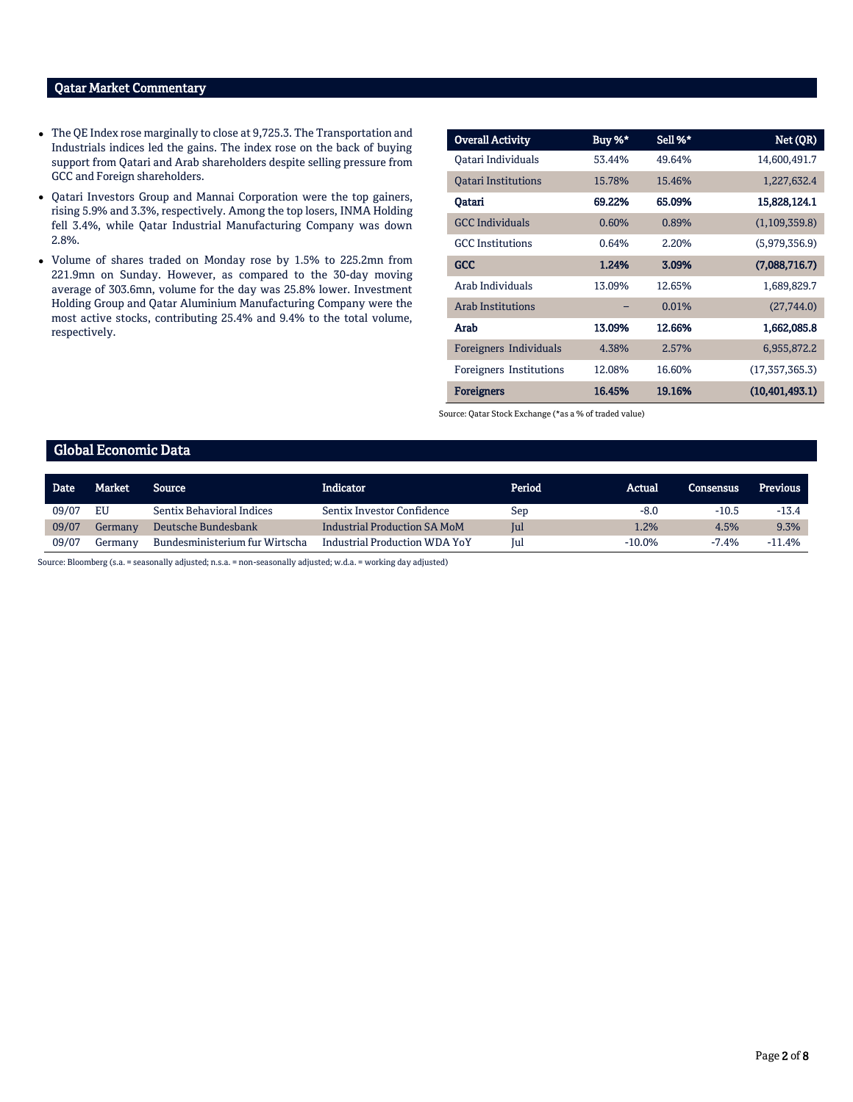### Qatar Market Commentary

- The QE Index rose marginally to close at 9,725.3. The Transportation and Industrials indices led the gains. The index rose on the back of buying support from Qatari and Arab shareholders despite selling pressure from GCC and Foreign shareholders.
- Qatari Investors Group and Mannai Corporation were the top gainers, rising 5.9% and 3.3%, respectively. Among the top losers, INMA Holding fell 3.4%, while Qatar Industrial Manufacturing Company was down 2.8%.
- Volume of shares traded on Monday rose by 1.5% to 225.2mn from 221.9mn on Sunday. However, as compared to the 30-day moving average of 303.6mn, volume for the day was 25.8% lower. Investment Holding Group and Qatar Aluminium Manufacturing Company were the most active stocks, contributing 25.4% and 9.4% to the total volume, respectively.

| <b>Overall Activity</b>    | Buy %* | Sell %* | Net (QR)         |
|----------------------------|--------|---------|------------------|
| Oatari Individuals         | 53.44% | 49.64%  | 14,600,491.7     |
| <b>Oatari Institutions</b> | 15.78% | 15.46%  | 1,227,632.4      |
| Oatari                     | 69.22% | 65.09%  | 15,828,124.1     |
| <b>GCC Individuals</b>     | 0.60%  | 0.89%   | (1,109,359.8)    |
| <b>GCC</b> Institutions    | 0.64%  | 2.20%   | (5,979,356.9)    |
| GCC                        | 1.24%  | 3.09%   | (7,088,716.7)    |
| Arab Individuals           | 13.09% | 12.65%  | 1,689,829.7      |
| <b>Arab Institutions</b>   |        | 0.01%   | (27,744.0)       |
| Arab                       | 13.09% | 12.66%  | 1,662,085.8      |
| Foreigners Individuals     | 4.38%  | 2.57%   | 6,955,872.2      |
| Foreigners Institutions    | 12.08% | 16.60%  | (17, 357, 365.3) |
| <b>Foreigners</b>          | 16.45% | 19.16%  | (10, 401, 493.1) |

Source: Qatar Stock Exchange (\*as a % of traded value)

## Global Economic Data

| <b>Date</b> | Market  | <b>Source</b>                    | Indicator                            | Period | Actual    | <b>Consensus</b> | <b>Previous</b> |
|-------------|---------|----------------------------------|--------------------------------------|--------|-----------|------------------|-----------------|
| 09/07       | EU      | <b>Sentix Behavioral Indices</b> | Sentix Investor Confidence           | Sep    | $-8.0$    | $-10.5$          | $-13.4$         |
| 09/07       | Germany | Deutsche Bundesbank              | Industrial Production SA MoM         | Jul    | 1.2%      | 4.5%             | 9.3%            |
| 09/07       | Germany | Bundesministerium fur Wirtscha   | <b>Industrial Production WDA YoY</b> | Jul    | $-10.0\%$ | $-7.4%$          | $-11.4%$        |

Source: Bloomberg (s.a. = seasonally adjusted; n.s.a. = non-seasonally adjusted; w.d.a. = working day adjusted)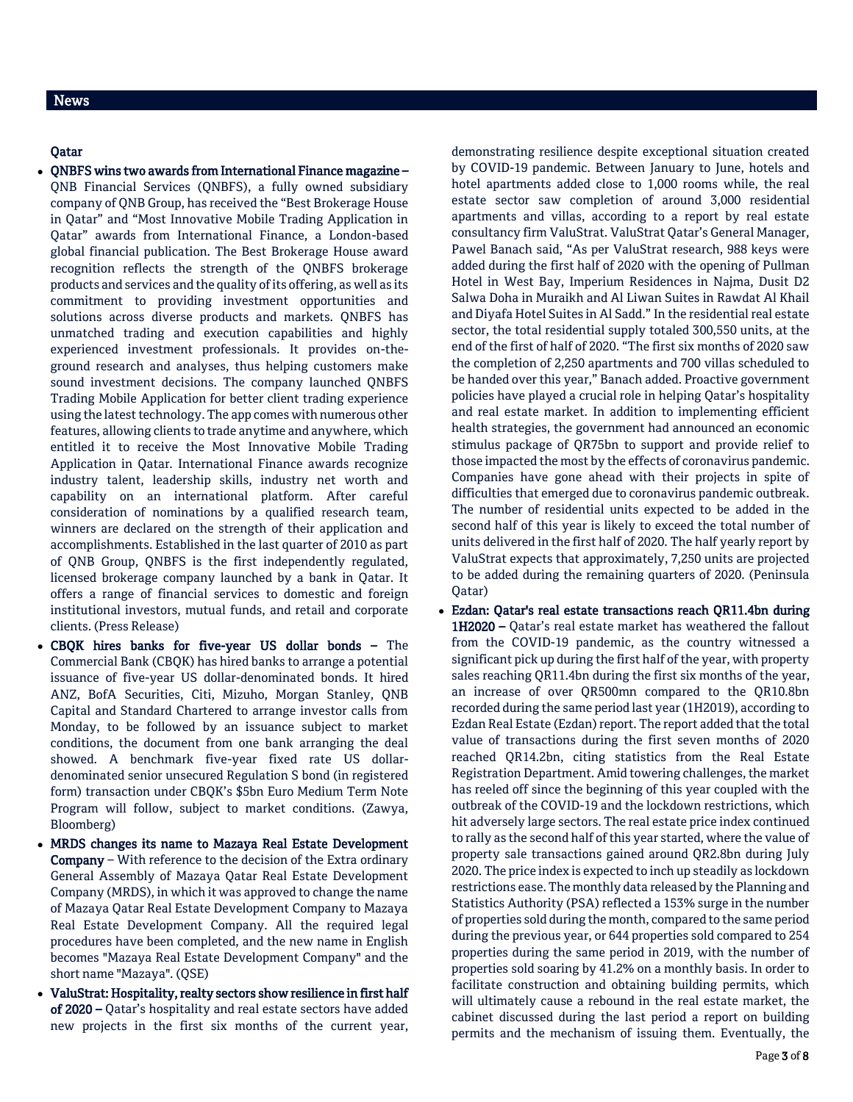# News

## Qatar

- QNBFS wins two awards from International Finance magazine QNB Financial Services (QNBFS), a fully owned subsidiary company of QNB Group, has received the "Best Brokerage House in Qatar" and "Most Innovative Mobile Trading Application in Qatar" awards from International Finance, a London-based global financial publication. The Best Brokerage House award recognition reflects the strength of the QNBFS brokerage products and services and the quality of its offering, as well as its commitment to providing investment opportunities and solutions across diverse products and markets. QNBFS has unmatched trading and execution capabilities and highly experienced investment professionals. It provides on-theground research and analyses, thus helping customers make sound investment decisions. The company launched QNBFS Trading Mobile Application for better client trading experience using the latest technology. The app comes with numerous other features, allowing clients to trade anytime and anywhere, which entitled it to receive the Most Innovative Mobile Trading Application in Qatar. International Finance awards recognize industry talent, leadership skills, industry net worth and capability on an international platform. After careful consideration of nominations by a qualified research team, winners are declared on the strength of their application and accomplishments. Established in the last quarter of 2010 as part of QNB Group, QNBFS is the first independently regulated, licensed brokerage company launched by a bank in Qatar. It offers a range of financial services to domestic and foreign institutional investors, mutual funds, and retail and corporate clients. (Press Release)
- CBQK hires banks for five-year US dollar bonds The Commercial Bank (CBQK) has hired banks to arrange a potential issuance of five-year US dollar-denominated bonds. It hired ANZ, BofA Securities, Citi, Mizuho, Morgan Stanley, QNB Capital and Standard Chartered to arrange investor calls from Monday, to be followed by an issuance subject to market conditions, the document from one bank arranging the deal showed. A benchmark five-year fixed rate US dollardenominated senior unsecured Regulation S bond (in registered form) transaction under CBQK's \$5bn Euro Medium Term Note Program will follow, subject to market conditions. (Zawya, Bloomberg)
- MRDS changes its name to Mazaya Real Estate Development Company – With reference to the decision of the Extra ordinary General Assembly of Mazaya Qatar Real Estate Development Company (MRDS), in which it was approved to change the name of Mazaya Qatar Real Estate Development Company to Mazaya Real Estate Development Company. All the required legal procedures have been completed, and the new name in English becomes "Mazaya Real Estate Development Company" and the short name "Mazaya". (QSE)
- ValuStrat: Hospitality, realty sectors show resilience in first half of 2020 – Qatar's hospitality and real estate sectors have added new projects in the first six months of the current year,

demonstrating resilience despite exceptional situation created by COVID-19 pandemic. Between January to June, hotels and hotel apartments added close to 1,000 rooms while, the real estate sector saw completion of around 3,000 residential apartments and villas, according to a report by real estate consultancy firm ValuStrat. ValuStrat Qatar's General Manager, Pawel Banach said, "As per ValuStrat research, 988 keys were added during the first half of 2020 with the opening of Pullman Hotel in West Bay, Imperium Residences in Najma, Dusit D2 Salwa Doha in Muraikh and Al Liwan Suites in Rawdat Al Khail and Diyafa Hotel Suites in Al Sadd." In the residential real estate sector, the total residential supply totaled 300,550 units, at the end of the first of half of 2020. "The first six months of 2020 saw the completion of 2,250 apartments and 700 villas scheduled to be handed over this year," Banach added. Proactive government policies have played a crucial role in helping Qatar's hospitality and real estate market. In addition to implementing efficient health strategies, the government had announced an economic stimulus package of QR75bn to support and provide relief to those impacted the most by the effects of coronavirus pandemic. Companies have gone ahead with their projects in spite of difficulties that emerged due to coronavirus pandemic outbreak. The number of residential units expected to be added in the second half of this year is likely to exceed the total number of units delivered in the first half of 2020. The half yearly report by ValuStrat expects that approximately, 7,250 units are projected to be added during the remaining quarters of 2020. (Peninsula Qatar)

 Ezdan: Qatar's real estate transactions reach QR11.4bn during 1H2020 – Qatar's real estate market has weathered the fallout from the COVID-19 pandemic, as the country witnessed a significant pick up during the first half of the year, with property sales reaching QR11.4bn during the first six months of the year, an increase of over QR500mn compared to the QR10.8bn recorded during the same period last year (1H2019), according to Ezdan Real Estate (Ezdan) report. The report added that the total value of transactions during the first seven months of 2020 reached QR14.2bn, citing statistics from the Real Estate Registration Department. Amid towering challenges, the market has reeled off since the beginning of this year coupled with the outbreak of the COVID-19 and the lockdown restrictions, which hit adversely large sectors. The real estate price index continued to rally as the second half of this year started, where the value of property sale transactions gained around QR2.8bn during July 2020. The price index is expected to inch up steadily as lockdown restrictions ease. The monthly data released by the Planning and Statistics Authority (PSA) reflected a 153% surge in the number of properties sold during the month, compared to the same period during the previous year, or 644 properties sold compared to 254 properties during the same period in 2019, with the number of properties sold soaring by 41.2% on a monthly basis. In order to facilitate construction and obtaining building permits, which will ultimately cause a rebound in the real estate market, the cabinet discussed during the last period a report on building permits and the mechanism of issuing them. Eventually, the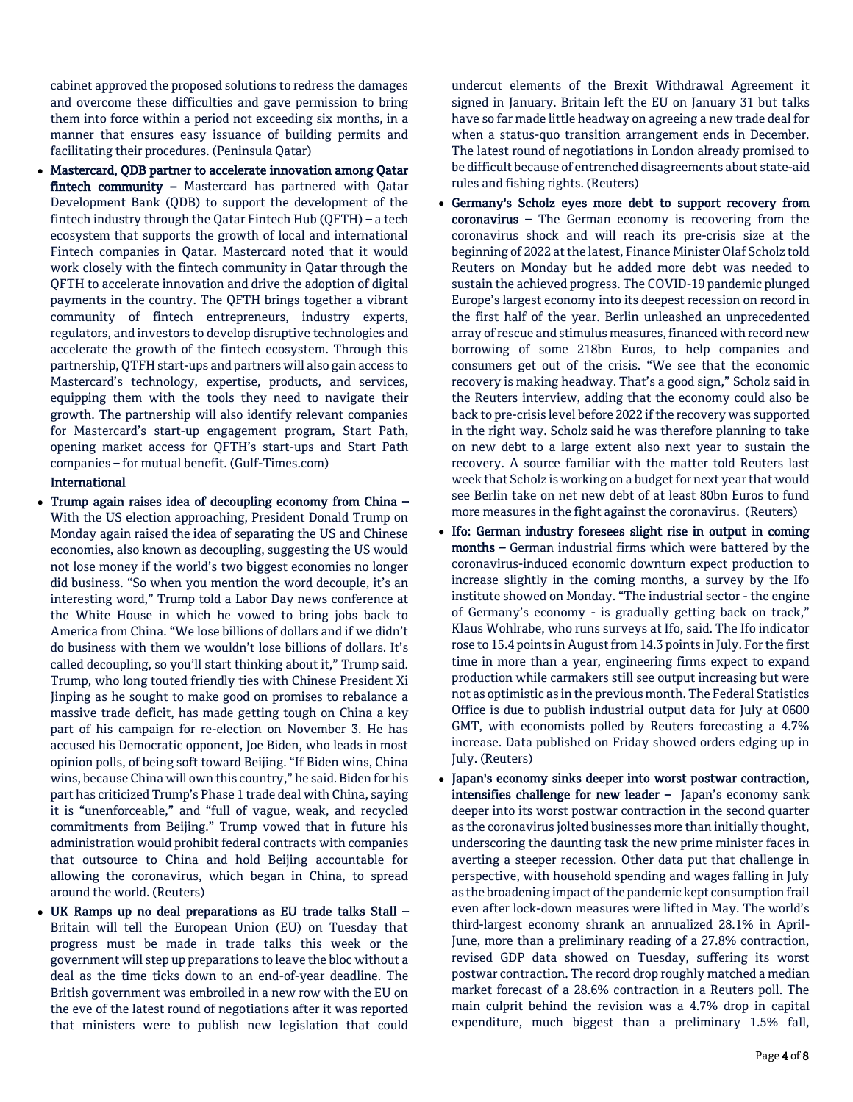cabinet approved the proposed solutions to redress the damages and overcome these difficulties and gave permission to bring them into force within a period not exceeding six months, in a manner that ensures easy issuance of building permits and facilitating their procedures. (Peninsula Qatar)

 Mastercard, QDB partner to accelerate innovation among Qatar fintech community – Mastercard has partnered with Qatar Development Bank (QDB) to support the development of the fintech industry through the Qatar Fintech Hub (QFTH) – a tech ecosystem that supports the growth of local and international Fintech companies in Qatar. Mastercard noted that it would work closely with the fintech community in Qatar through the QFTH to accelerate innovation and drive the adoption of digital payments in the country. The QFTH brings together a vibrant community of fintech entrepreneurs, industry experts, regulators, and investors to develop disruptive technologies and accelerate the growth of the fintech ecosystem. Through this partnership, QTFH start-ups and partners will also gain access to Mastercard's technology, expertise, products, and services, equipping them with the tools they need to navigate their growth. The partnership will also identify relevant companies for Mastercard's start-up engagement program, Start Path, opening market access for QFTH's start-ups and Start Path companies – for mutual benefit. (Gulf-Times.com)

# International

- Trump again raises idea of decoupling economy from China With the US election approaching, President Donald Trump on Monday again raised the idea of separating the US and Chinese economies, also known as decoupling, suggesting the US would not lose money if the world's two biggest economies no longer did business. "So when you mention the word decouple, it's an interesting word," Trump told a Labor Day news conference at the White House in which he vowed to bring jobs back to America from China. "We lose billions of dollars and if we didn't do business with them we wouldn't lose billions of dollars. It's called decoupling, so you'll start thinking about it," Trump said. Trump, who long touted friendly ties with Chinese President Xi Jinping as he sought to make good on promises to rebalance a massive trade deficit, has made getting tough on China a key part of his campaign for re-election on November 3. He has accused his Democratic opponent, Joe Biden, who leads in most opinion polls, of being soft toward Beijing. "If Biden wins, China wins, because China will own this country," he said. Biden for his part has criticized Trump's Phase 1 trade deal with China, saying it is "unenforceable," and "full of vague, weak, and recycled commitments from Beijing." Trump vowed that in future his administration would prohibit federal contracts with companies that outsource to China and hold Beijing accountable for allowing the coronavirus, which began in China, to spread around the world. (Reuters)
- UK Ramps up no deal preparations as EU trade talks Stall Britain will tell the European Union (EU) on Tuesday that progress must be made in trade talks this week or the government will step up preparations to leave the bloc without a deal as the time ticks down to an end-of-year deadline. The British government was embroiled in a new row with the EU on the eve of the latest round of negotiations after it was reported that ministers were to publish new legislation that could

undercut elements of the Brexit Withdrawal Agreement it signed in January. Britain left the EU on January 31 but talks have so far made little headway on agreeing a new trade deal for when a status-quo transition arrangement ends in December. The latest round of negotiations in London already promised to be difficult because of entrenched disagreements about state-aid rules and fishing rights. (Reuters)

- Germany's Scholz eyes more debt to support recovery from coronavirus – The German economy is recovering from the coronavirus shock and will reach its pre-crisis size at the beginning of 2022 at the latest, Finance Minister Olaf Scholz told Reuters on Monday but he added more debt was needed to sustain the achieved progress. The COVID-19 pandemic plunged Europe's largest economy into its deepest recession on record in the first half of the year. Berlin unleashed an unprecedented array of rescue and stimulus measures, financed with record new borrowing of some 218bn Euros, to help companies and consumers get out of the crisis. "We see that the economic recovery is making headway. That's a good sign," Scholz said in the Reuters interview, adding that the economy could also be back to pre-crisis level before 2022 if the recovery was supported in the right way. Scholz said he was therefore planning to take on new debt to a large extent also next year to sustain the recovery. A source familiar with the matter told Reuters last week that Scholz is working on a budget for next year that would see Berlin take on net new debt of at least 80bn Euros to fund more measures in the fight against the coronavirus. (Reuters)
- Ifo: German industry foresees slight rise in output in coming months – German industrial firms which were battered by the coronavirus-induced economic downturn expect production to increase slightly in the coming months, a survey by the Ifo institute showed on Monday. "The industrial sector - the engine of Germany's economy - is gradually getting back on track," Klaus Wohlrabe, who runs surveys at Ifo, said. The Ifo indicator rose to 15.4 points in August from 14.3 points in July. For the first time in more than a year, engineering firms expect to expand production while carmakers still see output increasing but were not as optimistic as in the previous month. The Federal Statistics Office is due to publish industrial output data for July at 0600 GMT, with economists polled by Reuters forecasting a 4.7% increase. Data published on Friday showed orders edging up in July. (Reuters)
- Japan's economy sinks deeper into worst postwar contraction, intensifies challenge for new leader - Japan's economy sank deeper into its worst postwar contraction in the second quarter as the coronavirus jolted businesses more than initially thought, underscoring the daunting task the new prime minister faces in averting a steeper recession. Other data put that challenge in perspective, with household spending and wages falling in July as the broadening impact of the pandemic kept consumption frail even after lock-down measures were lifted in May. The world's third-largest economy shrank an annualized 28.1% in April-June, more than a preliminary reading of a 27.8% contraction, revised GDP data showed on Tuesday, suffering its worst postwar contraction. The record drop roughly matched a median market forecast of a 28.6% contraction in a Reuters poll. The main culprit behind the revision was a 4.7% drop in capital expenditure, much biggest than a preliminary 1.5% fall,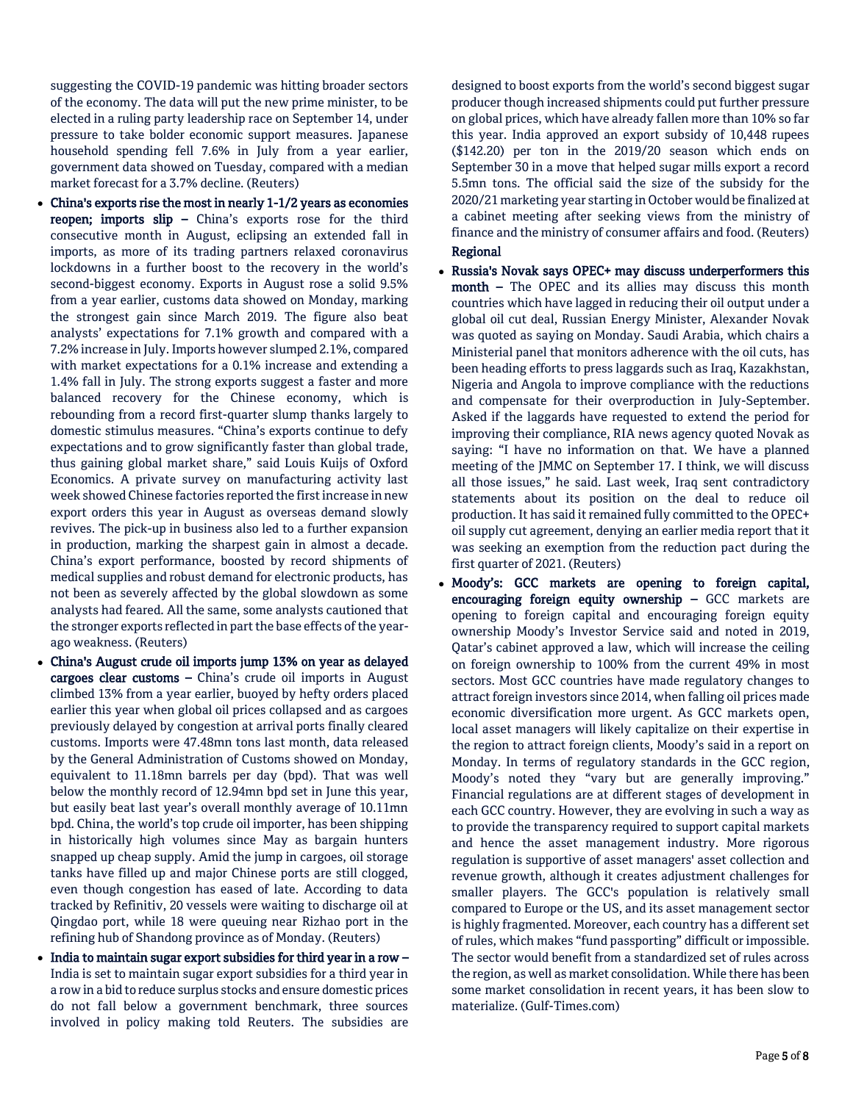suggesting the COVID-19 pandemic was hitting broader sectors of the economy. The data will put the new prime minister, to be elected in a ruling party leadership race on September 14, under pressure to take bolder economic support measures. Japanese household spending fell 7.6% in July from a year earlier, government data showed on Tuesday, compared with a median market forecast for a 3.7% decline. (Reuters)

- China's exports rise the most in nearly 1-1/2 years as economies reopen; imports slip – China's exports rose for the third consecutive month in August, eclipsing an extended fall in imports, as more of its trading partners relaxed coronavirus lockdowns in a further boost to the recovery in the world's second-biggest economy. Exports in August rose a solid 9.5% from a year earlier, customs data showed on Monday, marking the strongest gain since March 2019. The figure also beat analysts' expectations for 7.1% growth and compared with a 7.2% increase in July. Imports however slumped 2.1%, compared with market expectations for a 0.1% increase and extending a 1.4% fall in July. The strong exports suggest a faster and more balanced recovery for the Chinese economy, which is rebounding from a record first-quarter slump thanks largely to domestic stimulus measures. "China's exports continue to defy expectations and to grow significantly faster than global trade, thus gaining global market share," said Louis Kuijs of Oxford Economics. A private survey on manufacturing activity last week showed Chinese factories reported the first increase in new export orders this year in August as overseas demand slowly revives. The pick-up in business also led to a further expansion in production, marking the sharpest gain in almost a decade. China's export performance, boosted by record shipments of medical supplies and robust demand for electronic products, has not been as severely affected by the global slowdown as some analysts had feared. All the same, some analysts cautioned that the stronger exports reflected in part the base effects of the yearago weakness. (Reuters)
- China's August crude oil imports jump 13% on year as delayed cargoes clear customs – China's crude oil imports in August climbed 13% from a year earlier, buoyed by hefty orders placed earlier this year when global oil prices collapsed and as cargoes previously delayed by congestion at arrival ports finally cleared customs. Imports were 47.48mn tons last month, data released by the General Administration of Customs showed on Monday, equivalent to 11.18mn barrels per day (bpd). That was well below the monthly record of 12.94mn bpd set in June this year, but easily beat last year's overall monthly average of 10.11mn bpd. China, the world's top crude oil importer, has been shipping in historically high volumes since May as bargain hunters snapped up cheap supply. Amid the jump in cargoes, oil storage tanks have filled up and major Chinese ports are still clogged, even though congestion has eased of late. According to data tracked by Refinitiv, 20 vessels were waiting to discharge oil at Qingdao port, while 18 were queuing near Rizhao port in the refining hub of Shandong province as of Monday. (Reuters)
- $\bullet$  India to maintain sugar export subsidies for third year in a row  $-$ India is set to maintain sugar export subsidies for a third year in a row in a bid to reduce surplus stocks and ensure domestic prices do not fall below a government benchmark, three sources involved in policy making told Reuters. The subsidies are

designed to boost exports from the world's second biggest sugar producer though increased shipments could put further pressure on global prices, which have already fallen more than 10% so far this year. India approved an export subsidy of 10,448 rupees (\$142.20) per ton in the 2019/20 season which ends on September 30 in a move that helped sugar mills export a record 5.5mn tons. The official said the size of the subsidy for the 2020/21 marketing year starting in October would be finalized at a cabinet meeting after seeking views from the ministry of finance and the ministry of consumer affairs and food. (Reuters) Regional

- Russia's Novak says OPEC+ may discuss underperformers this month – The OPEC and its allies may discuss this month countries which have lagged in reducing their oil output under a global oil cut deal, Russian Energy Minister, Alexander Novak was quoted as saying on Monday. Saudi Arabia, which chairs a Ministerial panel that monitors adherence with the oil cuts, has been heading efforts to press laggards such as Iraq, Kazakhstan, Nigeria and Angola to improve compliance with the reductions and compensate for their overproduction in July-September. Asked if the laggards have requested to extend the period for improving their compliance, RIA news agency quoted Novak as saying: "I have no information on that. We have a planned meeting of the JMMC on September 17. I think, we will discuss all those issues," he said. Last week, Iraq sent contradictory statements about its position on the deal to reduce oil production. It has said it remained fully committed to the OPEC+ oil supply cut agreement, denying an earlier media report that it was seeking an exemption from the reduction pact during the first quarter of 2021. (Reuters)
- Moody's: GCC markets are opening to foreign capital, encouraging foreign equity ownership – GCC markets are opening to foreign capital and encouraging foreign equity ownership Moody's Investor Service said and noted in 2019, Qatar's cabinet approved a law, which will increase the ceiling on foreign ownership to 100% from the current 49% in most sectors. Most GCC countries have made regulatory changes to attract foreign investors since 2014, when falling oil prices made economic diversification more urgent. As GCC markets open, local asset managers will likely capitalize on their expertise in the region to attract foreign clients, Moody's said in a report on Monday. In terms of regulatory standards in the GCC region, Moody's noted they "vary but are generally improving." Financial regulations are at different stages of development in each GCC country. However, they are evolving in such a way as to provide the transparency required to support capital markets and hence the asset management industry. More rigorous regulation is supportive of asset managers' asset collection and revenue growth, although it creates adjustment challenges for smaller players. The GCC's population is relatively small compared to Europe or the US, and its asset management sector is highly fragmented. Moreover, each country has a different set of rules, which makes "fund passporting" difficult or impossible. The sector would benefit from a standardized set of rules across the region, as well as market consolidation. While there has been some market consolidation in recent years, it has been slow to materialize. (Gulf-Times.com)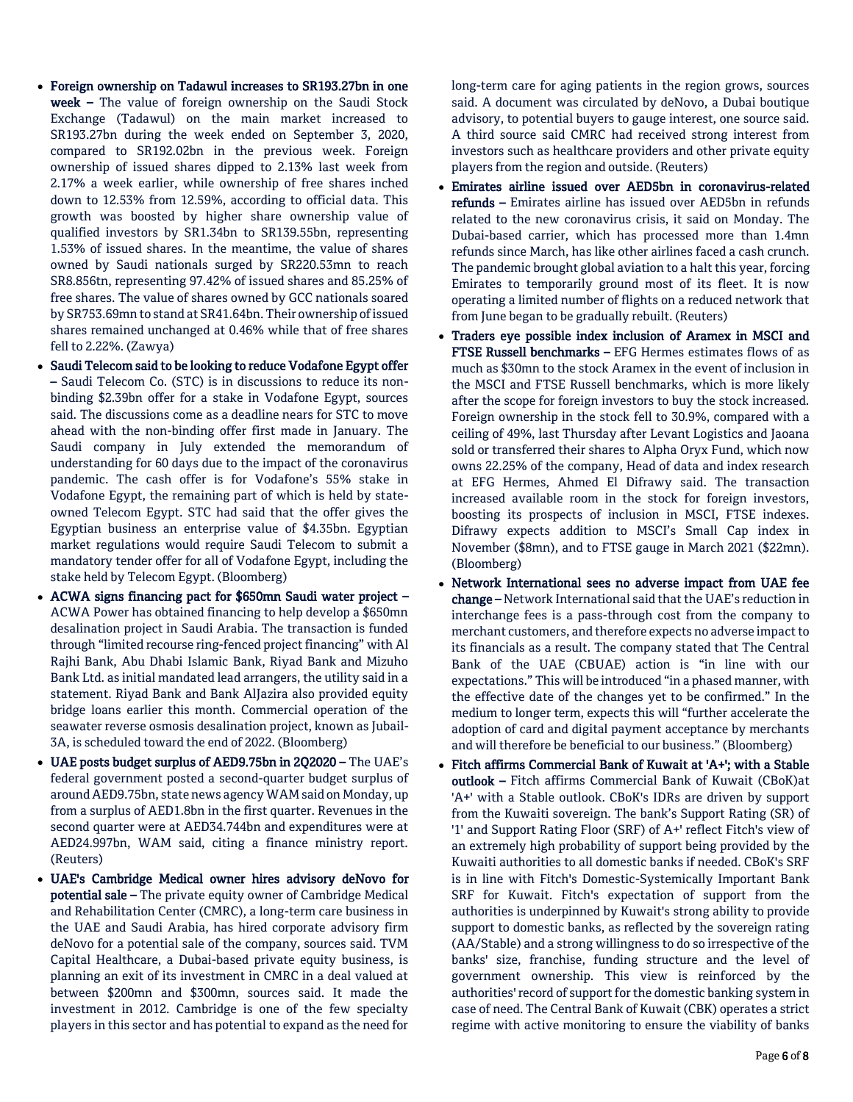- Foreign ownership on Tadawul increases to SR193.27bn in one week – The value of foreign ownership on the Saudi Stock Exchange (Tadawul) on the main market increased to SR193.27bn during the week ended on September 3, 2020, compared to SR192.02bn in the previous week. Foreign ownership of issued shares dipped to 2.13% last week from 2.17% a week earlier, while ownership of free shares inched down to 12.53% from 12.59%, according to official data. This growth was boosted by higher share ownership value of qualified investors by SR1.34bn to SR139.55bn, representing 1.53% of issued shares. In the meantime, the value of shares owned by Saudi nationals surged by SR220.53mn to reach SR8.856tn, representing 97.42% of issued shares and 85.25% of free shares. The value of shares owned by GCC nationals soared by SR753.69mn to stand at SR41.64bn. Their ownership of issued shares remained unchanged at 0.46% while that of free shares fell to 2.22%. (Zawya)
- Saudi Telecom said to be looking to reduce Vodafone Egypt offer – Saudi Telecom Co. (STC) is in discussions to reduce its nonbinding \$2.39bn offer for a stake in Vodafone Egypt, sources said. The discussions come as a deadline nears for STC to move ahead with the non-binding offer first made in January. The Saudi company in July extended the memorandum of understanding for 60 days due to the impact of the coronavirus pandemic. The cash offer is for Vodafone's 55% stake in Vodafone Egypt, the remaining part of which is held by stateowned Telecom Egypt. STC had said that the offer gives the Egyptian business an enterprise value of \$4.35bn. Egyptian market regulations would require Saudi Telecom to submit a mandatory tender offer for all of Vodafone Egypt, including the stake held by Telecom Egypt. (Bloomberg)
- ACWA signs financing pact for \$650mn Saudi water project ACWA Power has obtained financing to help develop a \$650mn desalination project in Saudi Arabia. The transaction is funded through "limited recourse ring-fenced project financing" with Al Rajhi Bank, Abu Dhabi Islamic Bank, Riyad Bank and Mizuho Bank Ltd. as initial mandated lead arrangers, the utility said in a statement. Riyad Bank and Bank AlJazira also provided equity bridge loans earlier this month. Commercial operation of the seawater reverse osmosis desalination project, known as Jubail-3A, is scheduled toward the end of 2022. (Bloomberg)
- UAE posts budget surplus of AED9.75bn in 2Q2020 The UAE's federal government posted a second-quarter budget surplus of around AED9.75bn, state news agency WAM said on Monday, up from a surplus of AED1.8bn in the first quarter. Revenues in the second quarter were at AED34.744bn and expenditures were at AED24.997bn, WAM said, citing a finance ministry report. (Reuters)
- UAE's Cambridge Medical owner hires advisory deNovo for potential sale – The private equity owner of Cambridge Medical and Rehabilitation Center (CMRC), a long-term care business in the UAE and Saudi Arabia, has hired corporate advisory firm deNovo for a potential sale of the company, sources said. TVM Capital Healthcare, a Dubai-based private equity business, is planning an exit of its investment in CMRC in a deal valued at between \$200mn and \$300mn, sources said. It made the investment in 2012. Cambridge is one of the few specialty players in this sector and has potential to expand as the need for

long-term care for aging patients in the region grows, sources said. A document was circulated by deNovo, a Dubai boutique advisory, to potential buyers to gauge interest, one source said. A third source said CMRC had received strong interest from investors such as healthcare providers and other private equity players from the region and outside. (Reuters)

- Emirates airline issued over AED5bn in coronavirus-related refunds – Emirates airline has issued over AED5bn in refunds related to the new coronavirus crisis, it said on Monday. The Dubai-based carrier, which has processed more than 1.4mn refunds since March, has like other airlines faced a cash crunch. The pandemic brought global aviation to a halt this year, forcing Emirates to temporarily ground most of its fleet. It is now operating a limited number of flights on a reduced network that from June began to be gradually rebuilt. (Reuters)
- Traders eye possible index inclusion of Aramex in MSCI and FTSE Russell benchmarks – EFG Hermes estimates flows of as much as \$30mn to the stock Aramex in the event of inclusion in the MSCI and FTSE Russell benchmarks, which is more likely after the scope for foreign investors to buy the stock increased. Foreign ownership in the stock fell to 30.9%, compared with a ceiling of 49%, last Thursday after Levant Logistics and Jaoana sold or transferred their shares to Alpha Oryx Fund, which now owns 22.25% of the company, Head of data and index research at EFG Hermes, Ahmed El Difrawy said. The transaction increased available room in the stock for foreign investors, boosting its prospects of inclusion in MSCI, FTSE indexes. Difrawy expects addition to MSCI's Small Cap index in November (\$8mn), and to FTSE gauge in March 2021 (\$22mn). (Bloomberg)
- Network International sees no adverse impact from UAE fee change – Network International said that the UAE's reduction in interchange fees is a pass-through cost from the company to merchant customers, and therefore expects no adverse impact to its financials as a result. The company stated that The Central Bank of the UAE (CBUAE) action is "in line with our expectations." This will be introduced "in a phased manner, with the effective date of the changes yet to be confirmed." In the medium to longer term, expects this will "further accelerate the adoption of card and digital payment acceptance by merchants and will therefore be beneficial to our business." (Bloomberg)
- Fitch affirms Commercial Bank of Kuwait at 'A+'; with a Stable outlook – Fitch affirms Commercial Bank of Kuwait (CBoK)at 'A+' with a Stable outlook. CBoK's IDRs are driven by support from the Kuwaiti sovereign. The bank's Support Rating (SR) of '1' and Support Rating Floor (SRF) of A+' reflect Fitch's view of an extremely high probability of support being provided by the Kuwaiti authorities to all domestic banks if needed. CBoK's SRF is in line with Fitch's Domestic-Systemically Important Bank SRF for Kuwait. Fitch's expectation of support from the authorities is underpinned by Kuwait's strong ability to provide support to domestic banks, as reflected by the sovereign rating (AA/Stable) and a strong willingness to do so irrespective of the banks' size, franchise, funding structure and the level of government ownership. This view is reinforced by the authorities' record of support for the domestic banking system in case of need. The Central Bank of Kuwait (CBK) operates a strict regime with active monitoring to ensure the viability of banks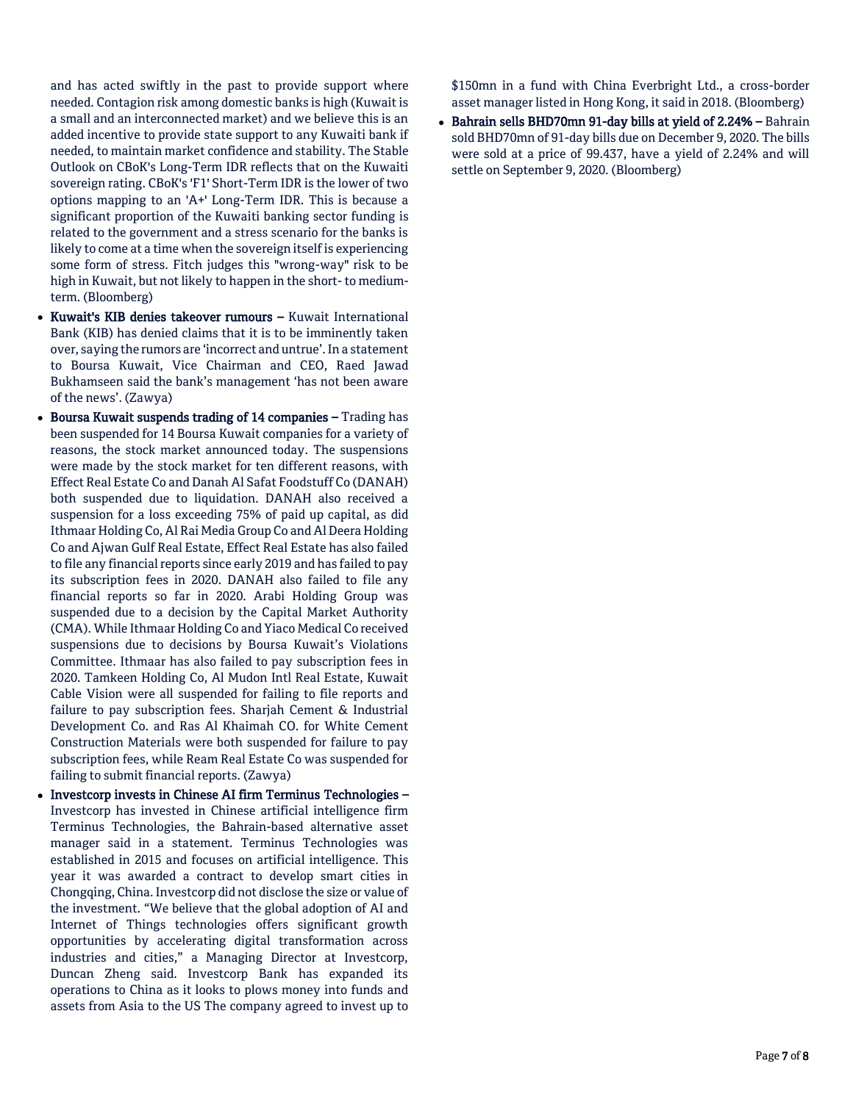and has acted swiftly in the past to provide support where needed. Contagion risk among domestic banks is high (Kuwait is a small and an interconnected market) and we believe this is an added incentive to provide state support to any Kuwaiti bank if needed, to maintain market confidence and stability. The Stable Outlook on CBoK's Long-Term IDR reflects that on the Kuwaiti sovereign rating. CBoK's 'F1' Short-Term IDR is the lower of two options mapping to an 'A+' Long-Term IDR. This is because a significant proportion of the Kuwaiti banking sector funding is related to the government and a stress scenario for the banks is likely to come at a time when the sovereign itself is experiencing some form of stress. Fitch judges this "wrong-way" risk to be high in Kuwait, but not likely to happen in the short-to mediumterm. (Bloomberg)

- Kuwait's KIB denies takeover rumours Kuwait International Bank (KIB) has denied claims that it is to be imminently taken over, saying the rumors are 'incorrect and untrue'. In a statement to Boursa Kuwait, Vice Chairman and CEO, Raed Jawad Bukhamseen said the bank's management 'has not been aware of the news'. (Zawya)
- Boursa Kuwait suspends trading of 14 companies Trading has been suspended for 14 Boursa Kuwait companies for a variety of reasons, the stock market announced today. The suspensions were made by the stock market for ten different reasons, with Effect Real Estate Co and Danah Al Safat Foodstuff Co (DANAH) both suspended due to liquidation. DANAH also received a suspension for a loss exceeding 75% of paid up capital, as did Ithmaar Holding Co, Al Rai Media Group Co and Al Deera Holding Co and Ajwan Gulf Real Estate, Effect Real Estate has also failed to file any financial reports since early 2019 and has failed to pay its subscription fees in 2020. DANAH also failed to file any financial reports so far in 2020. Arabi Holding Group was suspended due to a decision by the Capital Market Authority (CMA). While Ithmaar Holding Co and Yiaco Medical Co received suspensions due to decisions by Boursa Kuwait's Violations Committee. Ithmaar has also failed to pay subscription fees in 2020. Tamkeen Holding Co, Al Mudon Intl Real Estate, Kuwait Cable Vision were all suspended for failing to file reports and failure to pay subscription fees. Sharjah Cement & Industrial Development Co. and Ras Al Khaimah CO. for White Cement Construction Materials were both suspended for failure to pay subscription fees, while Ream Real Estate Co was suspended for failing to submit financial reports. (Zawya)
- Investcorp invests in Chinese AI firm Terminus Technologies Investcorp has invested in Chinese artificial intelligence firm Terminus Technologies, the Bahrain-based alternative asset manager said in a statement. Terminus Technologies was established in 2015 and focuses on artificial intelligence. This year it was awarded a contract to develop smart cities in Chongqing, China. Investcorp did not disclose the size or value of the investment. "We believe that the global adoption of AI and Internet of Things technologies offers significant growth opportunities by accelerating digital transformation across industries and cities," a Managing Director at Investcorp, Duncan Zheng said. Investcorp Bank has expanded its operations to China as it looks to plows money into funds and assets from Asia to the US The company agreed to invest up to

\$150mn in a fund with China Everbright Ltd., a cross-border asset manager listed in Hong Kong, it said in 2018. (Bloomberg)

 Bahrain sells BHD70mn 91-day bills at yield of 2.24% – Bahrain sold BHD70mn of 91-day bills due on December 9, 2020. The bills were sold at a price of 99.437, have a yield of 2.24% and will settle on September 9, 2020. (Bloomberg)